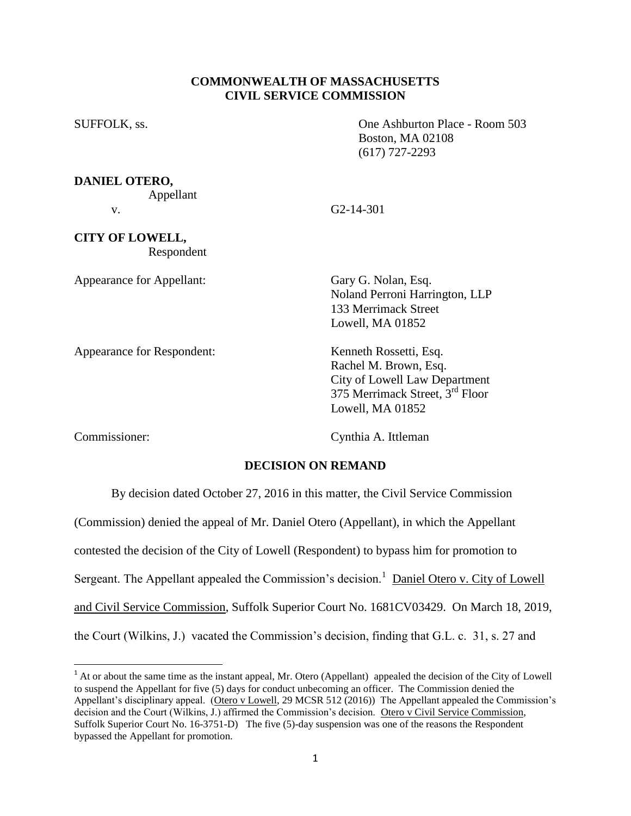## **COMMONWEALTH OF MASSACHUSETTS CIVIL SERVICE COMMISSION**

SUFFOLK, ss. One Ashburton Place - Room 503 Boston, MA 02108 (617) 727-2293

**DANIEL OTERO,**

Appellant

**CITY OF LOWELL,**

Respondent

Appearance for Appellant: Gary G. Nolan, Esq.

v. G2-14-301

 Noland Perroni Harrington, LLP 133 Merrimack Street Lowell, MA 01852

 City of Lowell Law Department 375 Merrimack Street, 3rd Floor

Appearance for Respondent: Kenneth Rossetti, Esq.

l

Commissioner: Cynthia A. Ittleman

Lowell, MA 01852

Rachel M. Brown, Esq.

## **DECISION ON REMAND**

By decision dated October 27, 2016 in this matter, the Civil Service Commission

(Commission) denied the appeal of Mr. Daniel Otero (Appellant), in which the Appellant

contested the decision of the City of Lowell (Respondent) to bypass him for promotion to

Sergeant. The Appellant appealed the Commission's decision.<sup>1</sup> Daniel Otero v. City of Lowell

and Civil Service Commission, Suffolk Superior Court No. 1681CV03429. On March 18, 2019,

the Court (Wilkins, J.) vacated the Commission's decision, finding that G.L. c. 31, s. 27 and

 $<sup>1</sup>$  At or about the same time as the instant appeal, Mr. Otero (Appellant) appealed the decision of the City of Lowell</sup> to suspend the Appellant for five (5) days for conduct unbecoming an officer. The Commission denied the Appellant's disciplinary appeal. (Otero v Lowell, 29 MCSR 512 (2016)) The Appellant appealed the Commission's decision and the Court (Wilkins, J.) affirmed the Commission's decision. Otero v Civil Service Commission, Suffolk Superior Court No. 16-3751-D) The five (5)-day suspension was one of the reasons the Respondent bypassed the Appellant for promotion.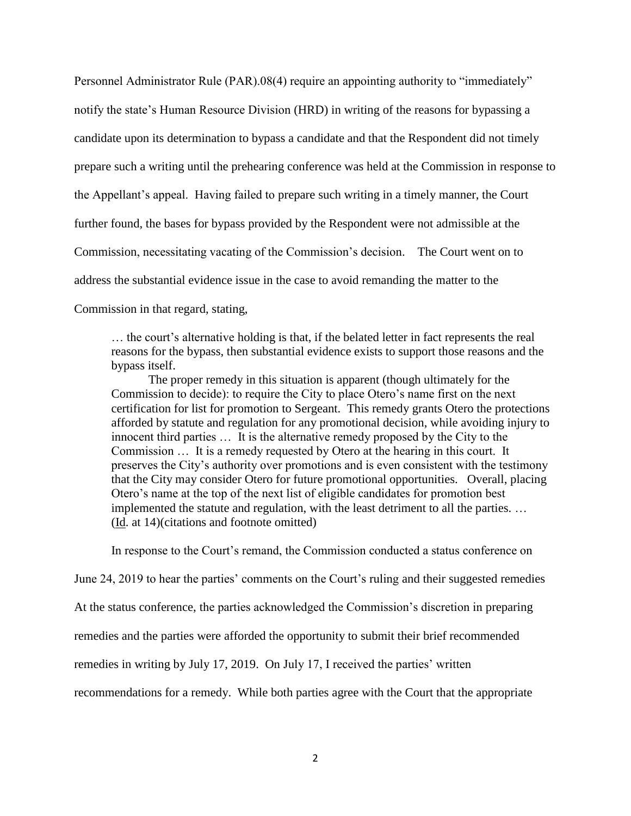Personnel Administrator Rule (PAR).08(4) require an appointing authority to "immediately" notify the state's Human Resource Division (HRD) in writing of the reasons for bypassing a candidate upon its determination to bypass a candidate and that the Respondent did not timely prepare such a writing until the prehearing conference was held at the Commission in response to the Appellant's appeal. Having failed to prepare such writing in a timely manner, the Court further found, the bases for bypass provided by the Respondent were not admissible at the Commission, necessitating vacating of the Commission's decision. The Court went on to address the substantial evidence issue in the case to avoid remanding the matter to the Commission in that regard, stating,

… the court's alternative holding is that, if the belated letter in fact represents the real reasons for the bypass, then substantial evidence exists to support those reasons and the bypass itself.

The proper remedy in this situation is apparent (though ultimately for the Commission to decide): to require the City to place Otero's name first on the next certification for list for promotion to Sergeant. This remedy grants Otero the protections afforded by statute and regulation for any promotional decision, while avoiding injury to innocent third parties … It is the alternative remedy proposed by the City to the Commission … It is a remedy requested by Otero at the hearing in this court. It preserves the City's authority over promotions and is even consistent with the testimony that the City may consider Otero for future promotional opportunities. Overall, placing Otero's name at the top of the next list of eligible candidates for promotion best implemented the statute and regulation, with the least detriment to all the parties. … (Id. at 14)(citations and footnote omitted)

In response to the Court's remand, the Commission conducted a status conference on

June 24, 2019 to hear the parties' comments on the Court's ruling and their suggested remedies

At the status conference, the parties acknowledged the Commission's discretion in preparing

remedies and the parties were afforded the opportunity to submit their brief recommended

remedies in writing by July 17, 2019. On July 17, I received the parties' written

recommendations for a remedy. While both parties agree with the Court that the appropriate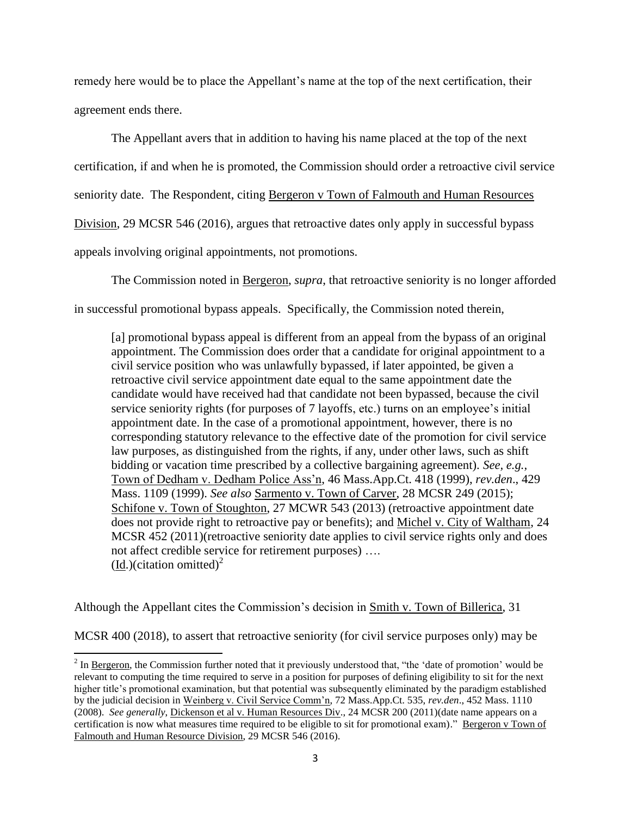remedy here would be to place the Appellant's name at the top of the next certification, their agreement ends there.

The Appellant avers that in addition to having his name placed at the top of the next certification, if and when he is promoted, the Commission should order a retroactive civil service seniority date. The Respondent, citing Bergeron v Town of Falmouth and Human Resources Division, 29 MCSR 546 (2016), argues that retroactive dates only apply in successful bypass appeals involving original appointments, not promotions.

The Commission noted in Bergeron, *supra*, that retroactive seniority is no longer afforded in successful promotional bypass appeals. Specifically, the Commission noted therein,

[a] promotional bypass appeal is different from an appeal from the bypass of an original appointment. The Commission does order that a candidate for original appointment to a civil service position who was unlawfully bypassed, if later appointed, be given a retroactive civil service appointment date equal to the same appointment date the candidate would have received had that candidate not been bypassed, because the civil service seniority rights (for purposes of 7 layoffs, etc.) turns on an employee's initial appointment date. In the case of a promotional appointment, however, there is no corresponding statutory relevance to the effective date of the promotion for civil service law purposes, as distinguished from the rights, if any, under other laws, such as shift bidding or vacation time prescribed by a collective bargaining agreement). *See, e.g.,* Town of Dedham v. Dedham Police Ass'n, 46 Mass.App.Ct. 418 (1999), *rev.den*., 429 Mass. 1109 (1999). *See also* Sarmento v. Town of Carver, 28 MCSR 249 (2015); Schifone v. Town of Stoughton, 27 MCWR 543 (2013) (retroactive appointment date does not provide right to retroactive pay or benefits); and Michel v. City of Waltham, 24 MCSR 452 (2011)(retroactive seniority date applies to civil service rights only and does not affect credible service for retirement purposes) ….  $(\underline{Id})$ (citation omitted)<sup>2</sup>

Although the Appellant cites the Commission's decision in Smith v. Town of Billerica, 31

 $\overline{\phantom{a}}$ 

MCSR 400 (2018), to assert that retroactive seniority (for civil service purposes only) may be

 $2^{2}$  In <u>Bergeron</u>, the Commission further noted that it previously understood that, "the 'date of promotion' would be relevant to computing the time required to serve in a position for purposes of defining eligibility to sit for the next higher title's promotional examination, but that potential was subsequently eliminated by the paradigm established by the judicial decision in Weinberg v. Civil Service Comm'n, 72 Mass.App.Ct. 535, *rev.den*., 452 Mass. 1110 (2008). *See generally*, Dickenson et al v. Human Resources Div., 24 MCSR 200 (2011)(date name appears on a certification is now what measures time required to be eligible to sit for promotional exam)." Bergeron v Town of Falmouth and Human Resource Division, 29 MCSR 546 (2016).